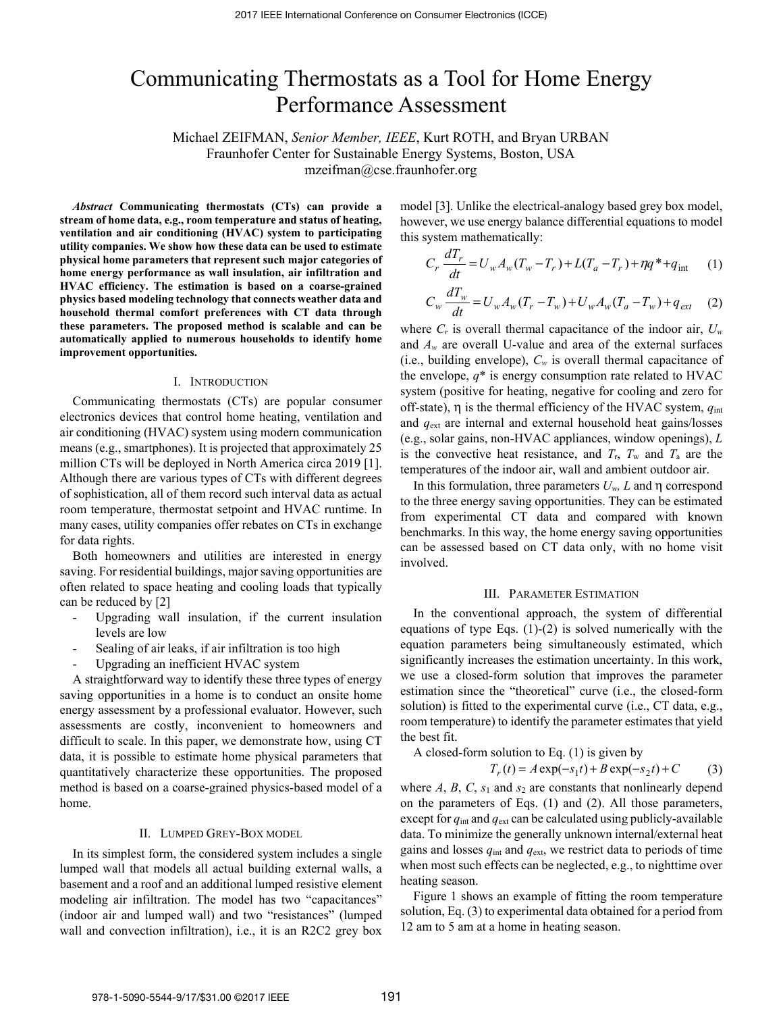# Communicating Thermostats as a Tool for Home Energy Performance Assessment

Michael ZEIFMAN, *Senior Member, IEEE*, Kurt ROTH, and Bryan URBAN Fraunhofer Center for Sustainable Energy Systems, Boston, USA mzeifman@cse.fraunhofer.org

*Abstract* **Communicating thermostats (CTs) can provide a stream of home data, e.g., room temperature and status of heating, ventilation and air conditioning (HVAC) system to participating utility companies. We show how these data can be used to estimate physical home parameters that represent such major categories of home energy performance as wall insulation, air infiltration and HVAC efficiency. The estimation is based on a coarse-grained physics based modeling technology that connects weather data and household thermal comfort preferences with CT data through these parameters. The proposed method is scalable and can be automatically applied to numerous households to identify home improvement opportunities.** 

## I. INTRODUCTION

Communicating thermostats (CTs) are popular consumer electronics devices that control home heating, ventilation and air conditioning (HVAC) system using modern communication means (e.g., smartphones). It is projected that approximately 25 million CTs will be deployed in North America circa 2019 [1]. Although there are various types of CTs with different degrees of sophistication, all of them record such interval data as actual room temperature, thermostat setpoint and HVAC runtime. In many cases, utility companies offer rebates on CTs in exchange for data rights.

Both homeowners and utilities are interested in energy saving. For residential buildings, major saving opportunities are often related to space heating and cooling loads that typically can be reduced by [2]

- Upgrading wall insulation, if the current insulation levels are low
- Sealing of air leaks, if air infiltration is too high
- Upgrading an inefficient HVAC system

A straightforward way to identify these three types of energy saving opportunities in a home is to conduct an onsite home energy assessment by a professional evaluator. However, such assessments are costly, inconvenient to homeowners and difficult to scale. In this paper, we demonstrate how, using CT data, it is possible to estimate home physical parameters that quantitatively characterize these opportunities. The proposed method is based on a coarse-grained physics-based model of a home.

## II. LUMPED GREY-BOX MODEL

In its simplest form, the considered system includes a single lumped wall that models all actual building external walls, a basement and a roof and an additional lumped resistive element modeling air infiltration. The model has two "capacitances" (indoor air and lumped wall) and two "resistances" (lumped wall and convection infiltration), i.e., it is an R2C2 grey box

model [3]. Unlike the electrical-analogy based grey box model, however, we use energy balance differential equations to model this system mathematically:

$$
C_r \frac{dT_r}{dt} = U_w A_w (T_w - T_r) + L(T_a - T_r) + \eta q^* + q_{\text{int}} \tag{1}
$$

$$
C_w \frac{dT_w}{dt} = U_w A_w (T_r - T_w) + U_w A_w (T_a - T_w) + q_{ext}
$$
 (2)

where  $C_r$  is overall thermal capacitance of the indoor air,  $U_w$ and *Aw* are overall U-value and area of the external surfaces (i.e., building envelope), *Cw* is overall thermal capacitance of the envelope,  $q^*$  is energy consumption rate related to HVAC system (positive for heating, negative for cooling and zero for off-state), η is the thermal efficiency of the HVAC system, *q*int and *q*ext are internal and external household heat gains/losses (e.g., solar gains, non-HVAC appliances, window openings), *L* is the convective heat resistance, and  $T_r$ ,  $T_w$  and  $T_a$  are the temperatures of the indoor air, wall and ambient outdoor air.

In this formulation, three parameters *Uw, L* and η correspond to the three energy saving opportunities. They can be estimated from experimental CT data and compared with known benchmarks. In this way, the home energy saving opportunities can be assessed based on CT data only, with no home visit involved.

## III. PARAMETER ESTIMATION

In the conventional approach, the system of differential equations of type Eqs. (1)-(2) is solved numerically with the equation parameters being simultaneously estimated, which significantly increases the estimation uncertainty. In this work, we use a closed-form solution that improves the parameter estimation since the "theoretical" curve (i.e., the closed-form solution) is fitted to the experimental curve (i.e., CT data, e.g., room temperature) to identify the parameter estimates that yield the best fit.

A closed-form solution to Eq. (1) is given by

$$
T_r(t) = A \exp(-s_1 t) + B \exp(-s_2 t) + C \tag{3}
$$

where  $A$ ,  $B$ ,  $C$ ,  $s_1$  and  $s_2$  are constants that nonlinearly depend on the parameters of Eqs. (1) and (2). All those parameters, except for  $q_{\text{int}}$  and  $q_{\text{ext}}$  can be calculated using publicly-available data. To minimize the generally unknown internal/external heat gains and losses *q*int and *q*ext, we restrict data to periods of time when most such effects can be neglected, e.g., to nighttime over heating season.

Figure 1 shows an example of fitting the room temperature solution, Eq. (3) to experimental data obtained for a period from 12 am to 5 am at a home in heating season.